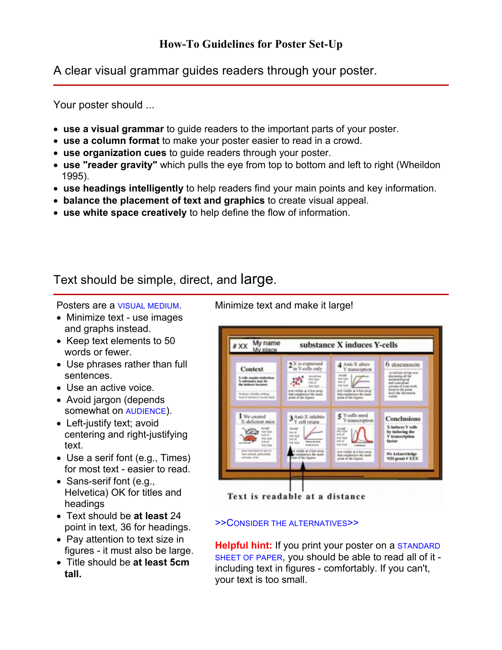A clear visual grammar guides readers through your poster.

Your poster should ...

- **use a visual grammar** to guide readers to the important parts of your poster.
- **use a column format** to make your poster easier to read in a crowd.
- **use organization cues** to guide readers through your poster.
- **use "reader gravity"** which pulls the eye from top to bottom and left to right (Wheildon 1995).
- **use headings intelligently** to help readers find your main points and key information.
- **balance the placement of text and graphics** to create visual appeal.
- **use white space creatively** to help define the flow of information.

Text should be simple, direct, and large.

Posters are a VISUAL MEDIUM.

- Minimize text use images and graphs instead.
- Keep text elements to 50 words or fewer.
- Use phrases rather than full sentences.
- Use an active voice.
- Avoid jargon (depends somewhat on AUDIENCE).
- Left-justify text; avoid centering and right-justifying text.
- Use a serif font (e.g., Times) for most text - easier to read.
- Sans-serif font (e.g., Helvetica) OK for titles and headings
- Text should be **at least** 24 point in text, 36 for headings.
- Pay attention to text size in figures - it must also be large.
- Title should be **at least 5cm tall.**

Minimize text and make it large!



Text is readable at a distance

## >>CONSIDER THE ALTERNATIVES>>

**Helpful hint:** If you print your poster on a STANDARD SHEET OF PAPER, you should be able to read all of it including text in figures - comfortably. If you can't, your text is too small.